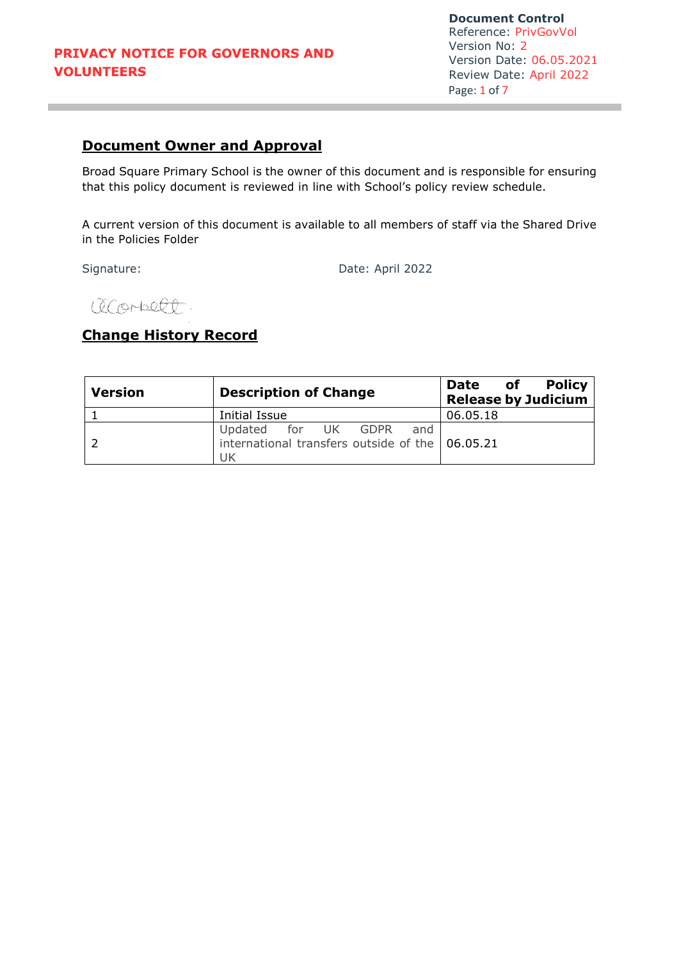**Document Control** Reference: PrivGovVol Version No: 2 Version Date: 06.05.2021 Review Date: April 2022 Page: 1 of 7

# **Document Owner and Approval**

Broad Square Primary School is the owner of this document and is responsible for ensuring that this policy document is reviewed in line with School's policy review schedule.

A current version of this document is available to all members of staff via the Shared Drive in the Policies Folder

Signature: Date: April 2022

acorbect.

# **Change History Record**

| <b>Version</b> | <b>Description of Change</b>                                                                | <b>Policy</b><br>of<br><b>Date</b><br><b>Release by Judicium</b> |
|----------------|---------------------------------------------------------------------------------------------|------------------------------------------------------------------|
|                | Initial Issue                                                                               | 06.05.18                                                         |
|                | Updated for UK GDPR<br>and<br>international transfers outside of the $\vert$ 06.05.21<br>UK |                                                                  |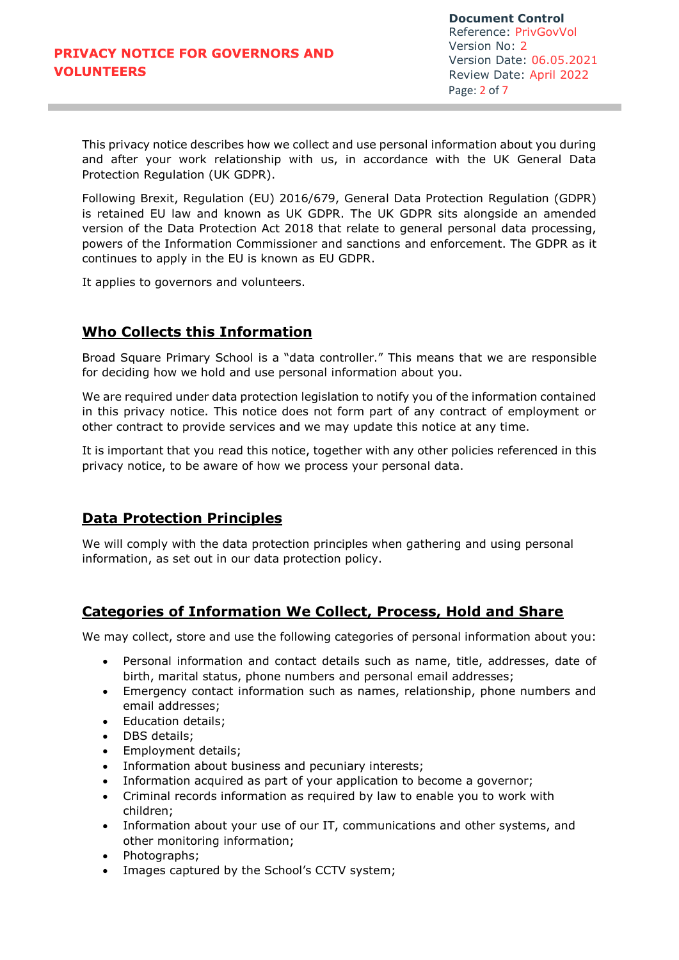This privacy notice describes how we collect and use personal information about you during and after your work relationship with us, in accordance with the UK General Data Protection Regulation (UK GDPR).

Following Brexit, Regulation (EU) 2016/679, General Data Protection Regulation (GDPR) is retained EU law and known as UK GDPR. The UK GDPR sits alongside an amended version of the Data Protection Act 2018 that relate to general personal data processing, powers of the Information Commissioner and sanctions and enforcement. The GDPR as it continues to apply in the EU is known as EU GDPR.

It applies to governors and volunteers.

# **Who Collects this Information**

Broad Square Primary School is a "data controller." This means that we are responsible for deciding how we hold and use personal information about you.

We are required under data protection legislation to notify you of the information contained in this privacy notice. This notice does not form part of any contract of employment or other contract to provide services and we may update this notice at any time.

It is important that you read this notice, together with any other policies referenced in this privacy notice, to be aware of how we process your personal data.

# **Data Protection Principles**

We will comply with the data protection principles when gathering and using personal information, as set out in our data protection policy.

# **Categories of Information We Collect, Process, Hold and Share**

We may collect, store and use the following categories of personal information about you:

- Personal information and contact details such as name, title, addresses, date of birth, marital status, phone numbers and personal email addresses;
- Emergency contact information such as names, relationship, phone numbers and email addresses;
- Education details:
- DBS details:
- Employment details;
- Information about business and pecuniary interests;
- Information acquired as part of your application to become a governor;
- Criminal records information as required by law to enable you to work with children;
- Information about your use of our IT, communications and other systems, and other monitoring information;
- Photographs:
- Images captured by the School's CCTV system;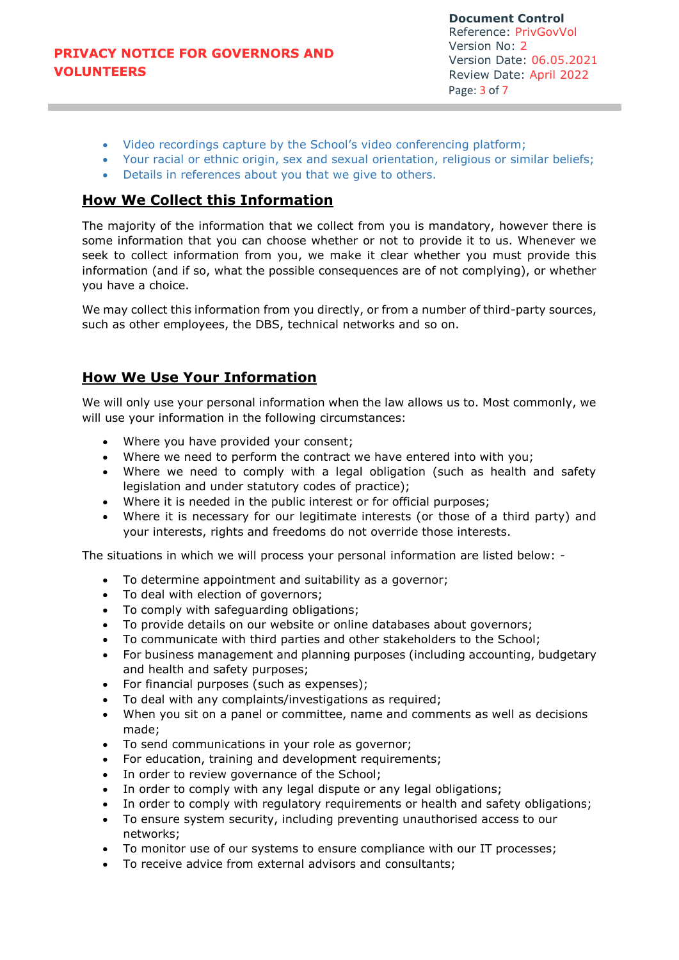- Video recordings capture by the School's video conferencing platform;
- Your racial or ethnic origin, sex and sexual orientation, religious or similar beliefs;
- Details in references about you that we give to others.

# **How We Collect this Information**

The majority of the information that we collect from you is mandatory, however there is some information that you can choose whether or not to provide it to us. Whenever we seek to collect information from you, we make it clear whether you must provide this information (and if so, what the possible consequences are of not complying), or whether you have a choice.

We may collect this information from you directly, or from a number of third-party sources, such as other employees, the DBS, technical networks and so on.

# **How We Use Your Information**

We will only use your personal information when the law allows us to. Most commonly, we will use your information in the following circumstances:

- Where you have provided your consent;
- Where we need to perform the contract we have entered into with you;
- Where we need to comply with a legal obligation (such as health and safety legislation and under statutory codes of practice);
- Where it is needed in the public interest or for official purposes;
- Where it is necessary for our legitimate interests (or those of a third party) and your interests, rights and freedoms do not override those interests.

The situations in which we will process your personal information are listed below: -

- To determine appointment and suitability as a governor;
- To deal with election of governors;
- To comply with safeguarding obligations;
- To provide details on our website or online databases about governors;
- To communicate with third parties and other stakeholders to the School;
- For business management and planning purposes (including accounting, budgetary and health and safety purposes;
- For financial purposes (such as expenses);
- To deal with any complaints/investigations as required;
- When you sit on a panel or committee, name and comments as well as decisions made;
- To send communications in your role as governor;
- For education, training and development requirements;
- In order to review governance of the School;
- In order to comply with any legal dispute or any legal obligations;
- In order to comply with regulatory requirements or health and safety obligations;
- To ensure system security, including preventing unauthorised access to our networks;
- To monitor use of our systems to ensure compliance with our IT processes;
- To receive advice from external advisors and consultants;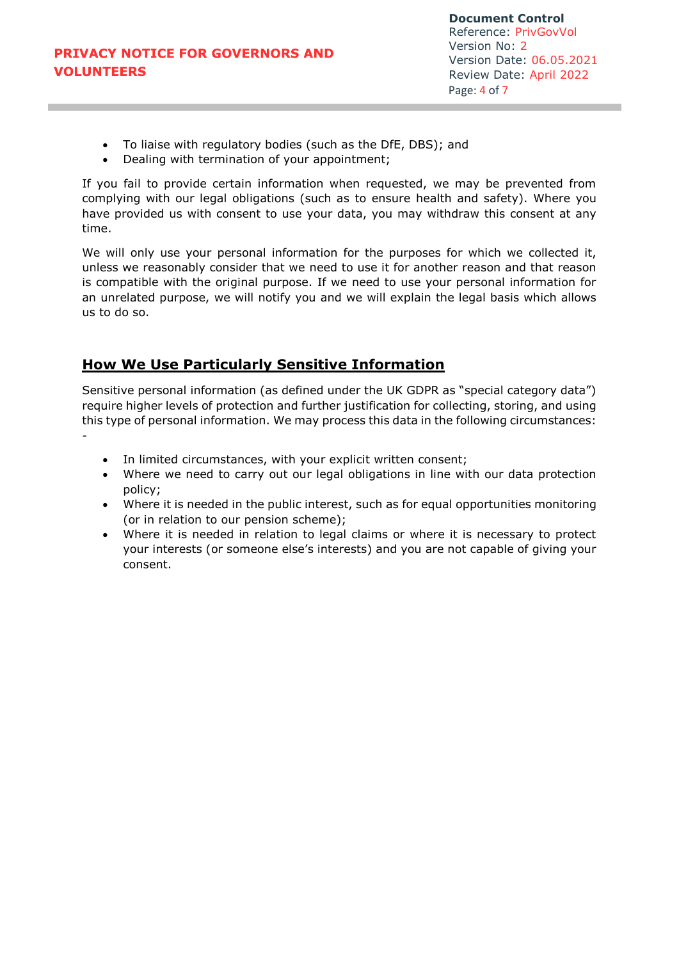- To liaise with regulatory bodies (such as the DfE, DBS); and
- Dealing with termination of your appointment;

If you fail to provide certain information when requested, we may be prevented from complying with our legal obligations (such as to ensure health and safety). Where you have provided us with consent to use your data, you may withdraw this consent at any time.

We will only use your personal information for the purposes for which we collected it, unless we reasonably consider that we need to use it for another reason and that reason is compatible with the original purpose. If we need to use your personal information for an unrelated purpose, we will notify you and we will explain the legal basis which allows us to do so.

# **How We Use Particularly Sensitive Information**

Sensitive personal information (as defined under the UK GDPR as "special category data") require higher levels of protection and further justification for collecting, storing, and using this type of personal information. We may process this data in the following circumstances: -

- In limited circumstances, with your explicit written consent;
- Where we need to carry out our legal obligations in line with our data protection policy;
- Where it is needed in the public interest, such as for equal opportunities monitoring (or in relation to our pension scheme);
- Where it is needed in relation to legal claims or where it is necessary to protect your interests (or someone else's interests) and you are not capable of giving your consent.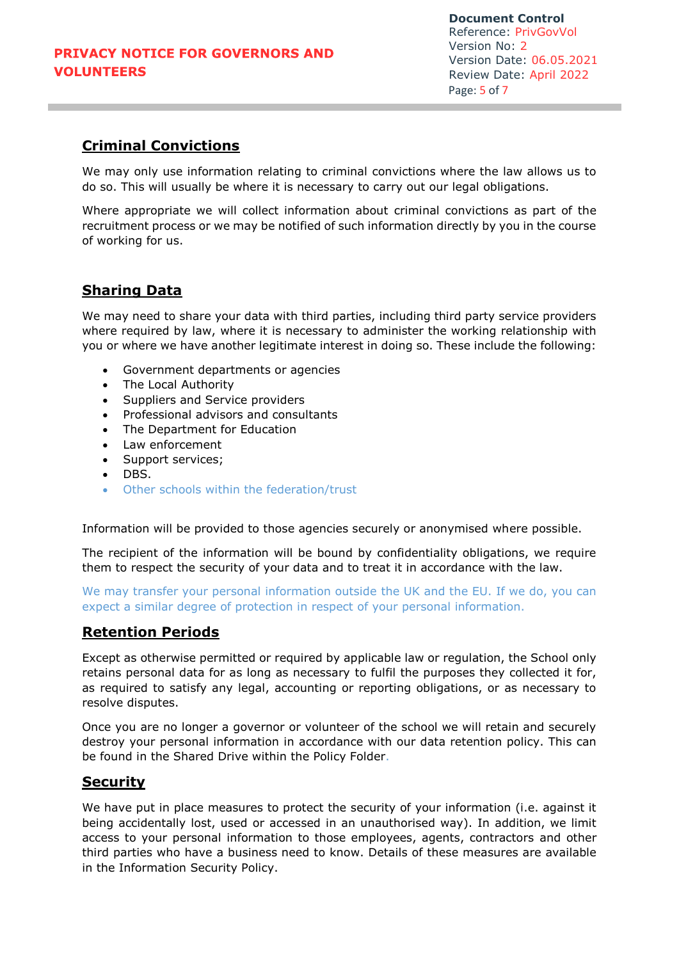**Document Control** Reference: PrivGovVol Version No: 2 Version Date: 06.05.2021 Review Date: April 2022 Page: 5 of 7

# **Criminal Convictions**

We may only use information relating to criminal convictions where the law allows us to do so. This will usually be where it is necessary to carry out our legal obligations.

Where appropriate we will collect information about criminal convictions as part of the recruitment process or we may be notified of such information directly by you in the course of working for us.

# **Sharing Data**

We may need to share your data with third parties, including third party service providers where required by law, where it is necessary to administer the working relationship with you or where we have another legitimate interest in doing so. These include the following:

- Government departments or agencies
- The Local Authority
- Suppliers and Service providers
- Professional advisors and consultants
- The Department for Education
- Law enforcement
- Support services;
- DBS.
- Other schools within the federation/trust

Information will be provided to those agencies securely or anonymised where possible.

The recipient of the information will be bound by confidentiality obligations, we require them to respect the security of your data and to treat it in accordance with the law.

We may transfer your personal information outside the UK and the EU. If we do, you can expect a similar degree of protection in respect of your personal information.

### **Retention Periods**

Except as otherwise permitted or required by applicable law or regulation, the School only retains personal data for as long as necessary to fulfil the purposes they collected it for, as required to satisfy any legal, accounting or reporting obligations, or as necessary to resolve disputes.

Once you are no longer a governor or volunteer of the school we will retain and securely destroy your personal information in accordance with our data retention policy. This can be found in the Shared Drive within the Policy Folder.

### **Security**

We have put in place measures to protect the security of your information (i.e. against it being accidentally lost, used or accessed in an unauthorised way). In addition, we limit access to your personal information to those employees, agents, contractors and other third parties who have a business need to know. Details of these measures are available in the Information Security Policy.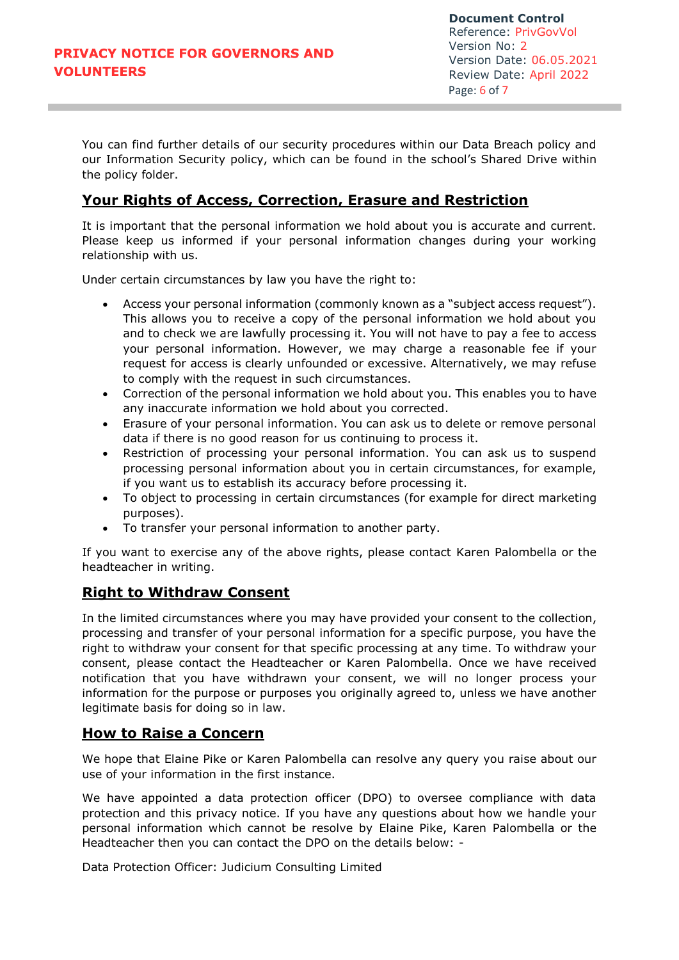You can find further details of our security procedures within our Data Breach policy and our Information Security policy, which can be found in the school's Shared Drive within the policy folder.

# **Your Rights of Access, Correction, Erasure and Restriction**

It is important that the personal information we hold about you is accurate and current. Please keep us informed if your personal information changes during your working relationship with us.

Under certain circumstances by law you have the right to:

- Access your personal information (commonly known as a "subject access request"). This allows you to receive a copy of the personal information we hold about you and to check we are lawfully processing it. You will not have to pay a fee to access your personal information. However, we may charge a reasonable fee if your request for access is clearly unfounded or excessive. Alternatively, we may refuse to comply with the request in such circumstances.
- Correction of the personal information we hold about you. This enables you to have any inaccurate information we hold about you corrected.
- Erasure of your personal information. You can ask us to delete or remove personal data if there is no good reason for us continuing to process it.
- Restriction of processing your personal information. You can ask us to suspend processing personal information about you in certain circumstances, for example, if you want us to establish its accuracy before processing it.
- To object to processing in certain circumstances (for example for direct marketing purposes).
- To transfer your personal information to another party.

If you want to exercise any of the above rights, please contact Karen Palombella or the headteacher in writing.

# **Right to Withdraw Consent**

In the limited circumstances where you may have provided your consent to the collection, processing and transfer of your personal information for a specific purpose, you have the right to withdraw your consent for that specific processing at any time. To withdraw your consent, please contact the Headteacher or Karen Palombella. Once we have received notification that you have withdrawn your consent, we will no longer process your information for the purpose or purposes you originally agreed to, unless we have another legitimate basis for doing so in law.

### **How to Raise a Concern**

We hope that Elaine Pike or Karen Palombella can resolve any query you raise about our use of your information in the first instance.

We have appointed a data protection officer (DPO) to oversee compliance with data protection and this privacy notice. If you have any questions about how we handle your personal information which cannot be resolve by Elaine Pike, Karen Palombella or the Headteacher then you can contact the DPO on the details below: -

Data Protection Officer: Judicium Consulting Limited